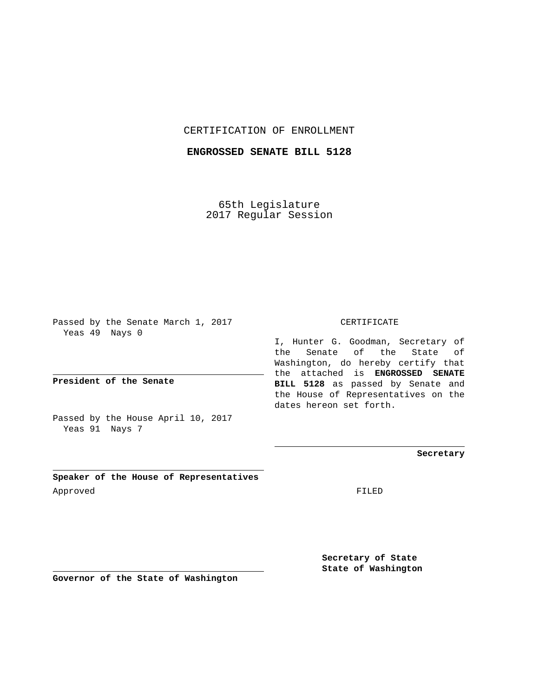## CERTIFICATION OF ENROLLMENT

## **ENGROSSED SENATE BILL 5128**

65th Legislature 2017 Regular Session

Passed by the Senate March 1, 2017 Yeas 49 Nays 0

**President of the Senate**

Passed by the House April 10, 2017 Yeas 91 Nays 7

**Speaker of the House of Representatives** Approved FILED

## CERTIFICATE

I, Hunter G. Goodman, Secretary of the Senate of the State of Washington, do hereby certify that the attached is **ENGROSSED SENATE BILL 5128** as passed by Senate and the House of Representatives on the dates hereon set forth.

**Secretary**

**Secretary of State State of Washington**

**Governor of the State of Washington**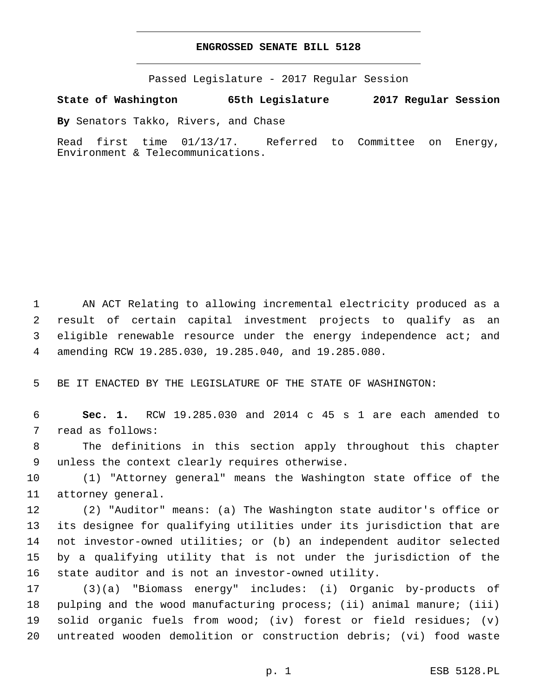## **ENGROSSED SENATE BILL 5128**

Passed Legislature - 2017 Regular Session

**State of Washington 65th Legislature 2017 Regular Session**

**By** Senators Takko, Rivers, and Chase

Read first time 01/13/17. Referred to Committee on Energy, Environment & Telecommunications.

 AN ACT Relating to allowing incremental electricity produced as a result of certain capital investment projects to qualify as an 3 eligible renewable resource under the energy independence act; and amending RCW 19.285.030, 19.285.040, and 19.285.080.

5 BE IT ENACTED BY THE LEGISLATURE OF THE STATE OF WASHINGTON:

6 **Sec. 1.** RCW 19.285.030 and 2014 c 45 s 1 are each amended to 7 read as follows:

8 The definitions in this section apply throughout this chapter 9 unless the context clearly requires otherwise.

10 (1) "Attorney general" means the Washington state office of the 11 attorney general.

 (2) "Auditor" means: (a) The Washington state auditor's office or its designee for qualifying utilities under its jurisdiction that are not investor-owned utilities; or (b) an independent auditor selected by a qualifying utility that is not under the jurisdiction of the state auditor and is not an investor-owned utility.

 (3)(a) "Biomass energy" includes: (i) Organic by-products of pulping and the wood manufacturing process; (ii) animal manure; (iii) solid organic fuels from wood; (iv) forest or field residues; (v) untreated wooden demolition or construction debris; (vi) food waste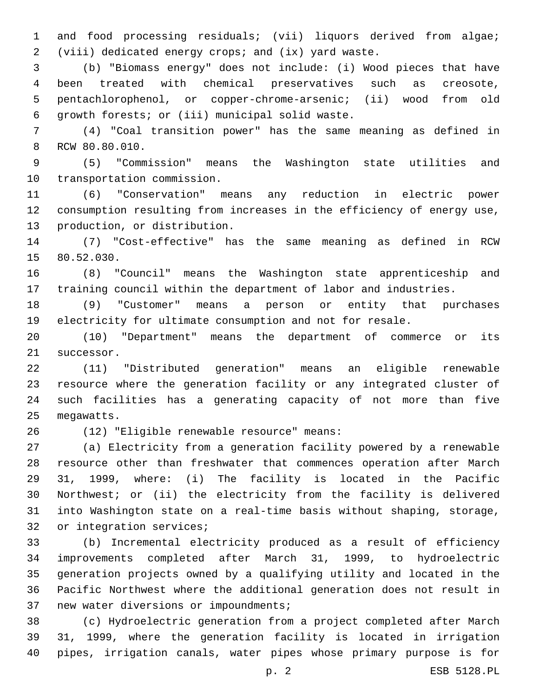and food processing residuals; (vii) liquors derived from algae; (viii) dedicated energy crops; and (ix) yard waste.

 (b) "Biomass energy" does not include: (i) Wood pieces that have been treated with chemical preservatives such as creosote, pentachlorophenol, or copper-chrome-arsenic; (ii) wood from old 6 growth forests; or (iii) municipal solid waste.

 (4) "Coal transition power" has the same meaning as defined in 8 RCW 80.80.010.

 (5) "Commission" means the Washington state utilities and 10 transportation commission.

 (6) "Conservation" means any reduction in electric power consumption resulting from increases in the efficiency of energy use, 13 production, or distribution.

 (7) "Cost-effective" has the same meaning as defined in RCW 15 80.52.030.

 (8) "Council" means the Washington state apprenticeship and training council within the department of labor and industries.

 (9) "Customer" means a person or entity that purchases electricity for ultimate consumption and not for resale.

 (10) "Department" means the department of commerce or its 21 successor.

 (11) "Distributed generation" means an eligible renewable resource where the generation facility or any integrated cluster of such facilities has a generating capacity of not more than five 25 megawatts.

(12) "Eligible renewable resource" means:26

 (a) Electricity from a generation facility powered by a renewable resource other than freshwater that commences operation after March 31, 1999, where: (i) The facility is located in the Pacific Northwest; or (ii) the electricity from the facility is delivered into Washington state on a real-time basis without shaping, storage, 32 or integration services;

 (b) Incremental electricity produced as a result of efficiency improvements completed after March 31, 1999, to hydroelectric generation projects owned by a qualifying utility and located in the Pacific Northwest where the additional generation does not result in 37 new water diversions or impoundments;

 (c) Hydroelectric generation from a project completed after March 31, 1999, where the generation facility is located in irrigation pipes, irrigation canals, water pipes whose primary purpose is for

p. 2 ESB 5128.PL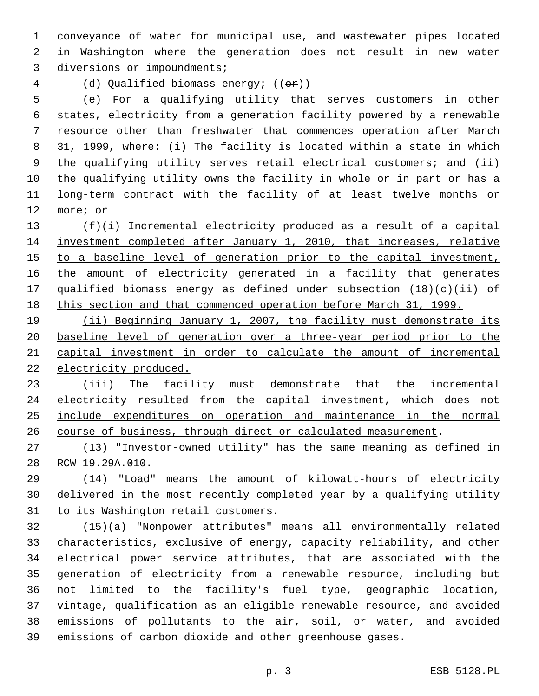conveyance of water for municipal use, and wastewater pipes located in Washington where the generation does not result in new water 3 diversions or impoundments;

(d) Qualified biomass energy; ((or))

 (e) For a qualifying utility that serves customers in other states, electricity from a generation facility powered by a renewable resource other than freshwater that commences operation after March 31, 1999, where: (i) The facility is located within a state in which the qualifying utility serves retail electrical customers; and (ii) the qualifying utility owns the facility in whole or in part or has a long-term contract with the facility of at least twelve months or more; or

 (f)(i) Incremental electricity produced as a result of a capital investment completed after January 1, 2010, that increases, relative 15 to a baseline level of generation prior to the capital investment, the amount of electricity generated in a facility that generates qualified biomass energy as defined under subsection (18)(c)(ii) of this section and that commenced operation before March 31, 1999.

 (ii) Beginning January 1, 2007, the facility must demonstrate its baseline level of generation over a three-year period prior to the capital investment in order to calculate the amount of incremental 22 electricity produced.

 (iii) The facility must demonstrate that the incremental 24 electricity resulted from the capital investment, which does not include expenditures on operation and maintenance in the normal course of business, through direct or calculated measurement.

 (13) "Investor-owned utility" has the same meaning as defined in 28 RCW 19.29A.010.

 (14) "Load" means the amount of kilowatt-hours of electricity delivered in the most recently completed year by a qualifying utility 31 to its Washington retail customers.

 (15)(a) "Nonpower attributes" means all environmentally related characteristics, exclusive of energy, capacity reliability, and other electrical power service attributes, that are associated with the generation of electricity from a renewable resource, including but not limited to the facility's fuel type, geographic location, vintage, qualification as an eligible renewable resource, and avoided emissions of pollutants to the air, soil, or water, and avoided emissions of carbon dioxide and other greenhouse gases.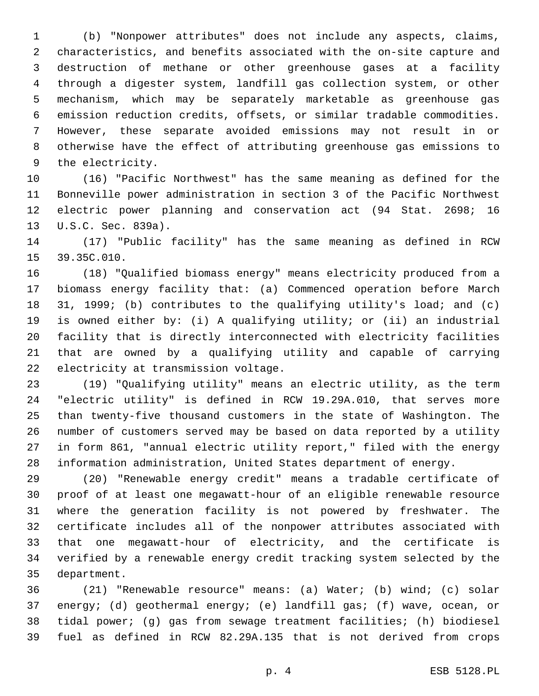(b) "Nonpower attributes" does not include any aspects, claims, characteristics, and benefits associated with the on-site capture and destruction of methane or other greenhouse gases at a facility through a digester system, landfill gas collection system, or other mechanism, which may be separately marketable as greenhouse gas emission reduction credits, offsets, or similar tradable commodities. However, these separate avoided emissions may not result in or otherwise have the effect of attributing greenhouse gas emissions to 9 the electricity.

 (16) "Pacific Northwest" has the same meaning as defined for the Bonneville power administration in section 3 of the Pacific Northwest electric power planning and conservation act (94 Stat. 2698; 16 13 U.S.C. Sec. 839a).

 (17) "Public facility" has the same meaning as defined in RCW 15 39.35C.010.

 (18) "Qualified biomass energy" means electricity produced from a biomass energy facility that: (a) Commenced operation before March 31, 1999; (b) contributes to the qualifying utility's load; and (c) is owned either by: (i) A qualifying utility; or (ii) an industrial facility that is directly interconnected with electricity facilities that are owned by a qualifying utility and capable of carrying 22 electricity at transmission voltage.

 (19) "Qualifying utility" means an electric utility, as the term "electric utility" is defined in RCW 19.29A.010, that serves more than twenty-five thousand customers in the state of Washington. The number of customers served may be based on data reported by a utility in form 861, "annual electric utility report," filed with the energy information administration, United States department of energy.

 (20) "Renewable energy credit" means a tradable certificate of proof of at least one megawatt-hour of an eligible renewable resource where the generation facility is not powered by freshwater. The certificate includes all of the nonpower attributes associated with that one megawatt-hour of electricity, and the certificate is verified by a renewable energy credit tracking system selected by the 35 department.

 (21) "Renewable resource" means: (a) Water; (b) wind; (c) solar energy; (d) geothermal energy; (e) landfill gas; (f) wave, ocean, or tidal power; (g) gas from sewage treatment facilities; (h) biodiesel fuel as defined in RCW 82.29A.135 that is not derived from crops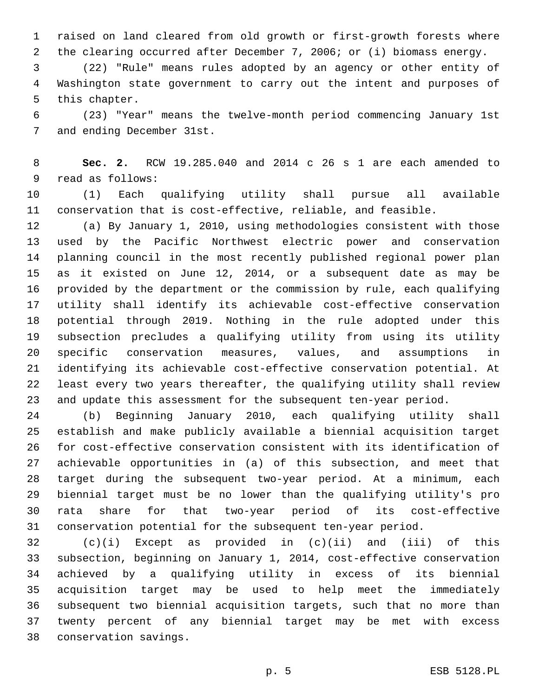raised on land cleared from old growth or first-growth forests where the clearing occurred after December 7, 2006; or (i) biomass energy.

 (22) "Rule" means rules adopted by an agency or other entity of Washington state government to carry out the intent and purposes of 5 this chapter.

 (23) "Year" means the twelve-month period commencing January 1st 7 and ending December 31st.

 **Sec. 2.** RCW 19.285.040 and 2014 c 26 s 1 are each amended to 9 read as follows:

 (1) Each qualifying utility shall pursue all available conservation that is cost-effective, reliable, and feasible.

 (a) By January 1, 2010, using methodologies consistent with those used by the Pacific Northwest electric power and conservation planning council in the most recently published regional power plan as it existed on June 12, 2014, or a subsequent date as may be provided by the department or the commission by rule, each qualifying utility shall identify its achievable cost-effective conservation potential through 2019. Nothing in the rule adopted under this subsection precludes a qualifying utility from using its utility specific conservation measures, values, and assumptions in identifying its achievable cost-effective conservation potential. At least every two years thereafter, the qualifying utility shall review and update this assessment for the subsequent ten-year period.

 (b) Beginning January 2010, each qualifying utility shall establish and make publicly available a biennial acquisition target for cost-effective conservation consistent with its identification of achievable opportunities in (a) of this subsection, and meet that target during the subsequent two-year period. At a minimum, each biennial target must be no lower than the qualifying utility's pro rata share for that two-year period of its cost-effective conservation potential for the subsequent ten-year period.

 (c)(i) Except as provided in (c)(ii) and (iii) of this subsection, beginning on January 1, 2014, cost-effective conservation achieved by a qualifying utility in excess of its biennial acquisition target may be used to help meet the immediately subsequent two biennial acquisition targets, such that no more than twenty percent of any biennial target may be met with excess conservation savings.38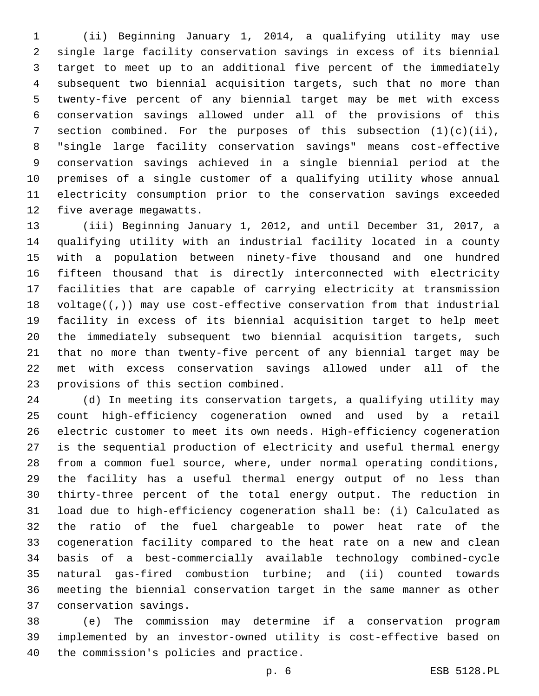(ii) Beginning January 1, 2014, a qualifying utility may use single large facility conservation savings in excess of its biennial target to meet up to an additional five percent of the immediately subsequent two biennial acquisition targets, such that no more than twenty-five percent of any biennial target may be met with excess conservation savings allowed under all of the provisions of this 7 section combined. For the purposes of this subsection  $(1)(c)(ii)$ , "single large facility conservation savings" means cost-effective conservation savings achieved in a single biennial period at the premises of a single customer of a qualifying utility whose annual electricity consumption prior to the conservation savings exceeded 12 five average megawatts.

 (iii) Beginning January 1, 2012, and until December 31, 2017, a qualifying utility with an industrial facility located in a county with a population between ninety-five thousand and one hundred fifteen thousand that is directly interconnected with electricity facilities that are capable of carrying electricity at transmission 18 voltage( $(\frac{1}{r})$ ) may use cost-effective conservation from that industrial facility in excess of its biennial acquisition target to help meet the immediately subsequent two biennial acquisition targets, such that no more than twenty-five percent of any biennial target may be met with excess conservation savings allowed under all of the 23 provisions of this section combined.

 (d) In meeting its conservation targets, a qualifying utility may count high-efficiency cogeneration owned and used by a retail electric customer to meet its own needs. High-efficiency cogeneration is the sequential production of electricity and useful thermal energy from a common fuel source, where, under normal operating conditions, the facility has a useful thermal energy output of no less than thirty-three percent of the total energy output. The reduction in load due to high-efficiency cogeneration shall be: (i) Calculated as the ratio of the fuel chargeable to power heat rate of the cogeneration facility compared to the heat rate on a new and clean basis of a best-commercially available technology combined-cycle natural gas-fired combustion turbine; and (ii) counted towards meeting the biennial conservation target in the same manner as other 37 conservation savings.

 (e) The commission may determine if a conservation program implemented by an investor-owned utility is cost-effective based on 40 the commission's policies and practice.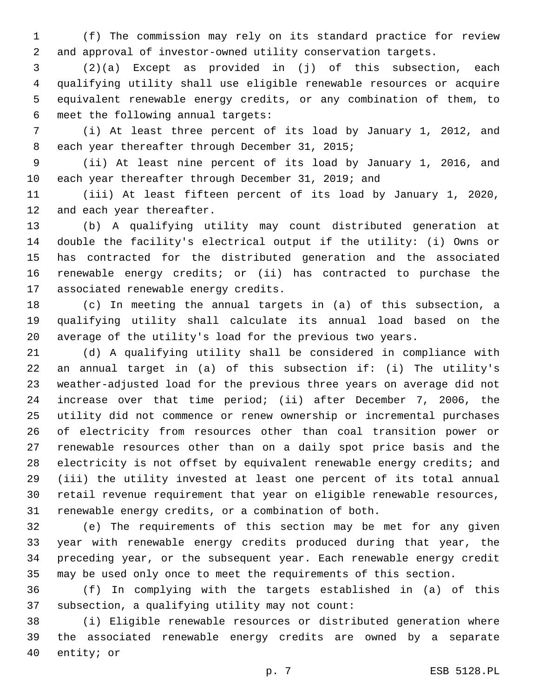(f) The commission may rely on its standard practice for review and approval of investor-owned utility conservation targets.

 (2)(a) Except as provided in (j) of this subsection, each qualifying utility shall use eligible renewable resources or acquire equivalent renewable energy credits, or any combination of them, to 6 meet the following annual targets:

 (i) At least three percent of its load by January 1, 2012, and 8 each year thereafter through December 31, 2015;

 (ii) At least nine percent of its load by January 1, 2016, and each year thereafter through December 31, 2019; and

 (iii) At least fifteen percent of its load by January 1, 2020, 12 and each year thereafter.

 (b) A qualifying utility may count distributed generation at double the facility's electrical output if the utility: (i) Owns or has contracted for the distributed generation and the associated renewable energy credits; or (ii) has contracted to purchase the 17 associated renewable energy credits.

 (c) In meeting the annual targets in (a) of this subsection, a qualifying utility shall calculate its annual load based on the average of the utility's load for the previous two years.

 (d) A qualifying utility shall be considered in compliance with an annual target in (a) of this subsection if: (i) The utility's weather-adjusted load for the previous three years on average did not increase over that time period; (ii) after December 7, 2006, the utility did not commence or renew ownership or incremental purchases of electricity from resources other than coal transition power or renewable resources other than on a daily spot price basis and the electricity is not offset by equivalent renewable energy credits; and (iii) the utility invested at least one percent of its total annual retail revenue requirement that year on eligible renewable resources, renewable energy credits, or a combination of both.

 (e) The requirements of this section may be met for any given year with renewable energy credits produced during that year, the preceding year, or the subsequent year. Each renewable energy credit may be used only once to meet the requirements of this section.

 (f) In complying with the targets established in (a) of this 37 subsection, a qualifying utility may not count:

 (i) Eligible renewable resources or distributed generation where the associated renewable energy credits are owned by a separate 40 entity; or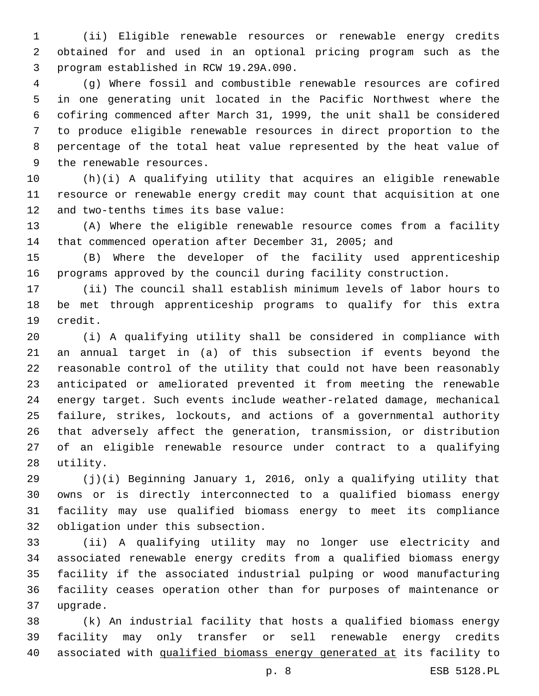(ii) Eligible renewable resources or renewable energy credits obtained for and used in an optional pricing program such as the program established in RCW 19.29A.090.3

 (g) Where fossil and combustible renewable resources are cofired in one generating unit located in the Pacific Northwest where the cofiring commenced after March 31, 1999, the unit shall be considered to produce eligible renewable resources in direct proportion to the percentage of the total heat value represented by the heat value of 9 the renewable resources.

 (h)(i) A qualifying utility that acquires an eligible renewable resource or renewable energy credit may count that acquisition at one 12 and two-tenths times its base value:

 (A) Where the eligible renewable resource comes from a facility that commenced operation after December 31, 2005; and

 (B) Where the developer of the facility used apprenticeship programs approved by the council during facility construction.

 (ii) The council shall establish minimum levels of labor hours to be met through apprenticeship programs to qualify for this extra 19 credit.

 (i) A qualifying utility shall be considered in compliance with an annual target in (a) of this subsection if events beyond the reasonable control of the utility that could not have been reasonably anticipated or ameliorated prevented it from meeting the renewable energy target. Such events include weather-related damage, mechanical failure, strikes, lockouts, and actions of a governmental authority that adversely affect the generation, transmission, or distribution of an eligible renewable resource under contract to a qualifying 28 utility.

 (j)(i) Beginning January 1, 2016, only a qualifying utility that owns or is directly interconnected to a qualified biomass energy facility may use qualified biomass energy to meet its compliance 32 obligation under this subsection.

 (ii) A qualifying utility may no longer use electricity and associated renewable energy credits from a qualified biomass energy facility if the associated industrial pulping or wood manufacturing facility ceases operation other than for purposes of maintenance or 37 upgrade.

 (k) An industrial facility that hosts a qualified biomass energy facility may only transfer or sell renewable energy credits associated with qualified biomass energy generated at its facility to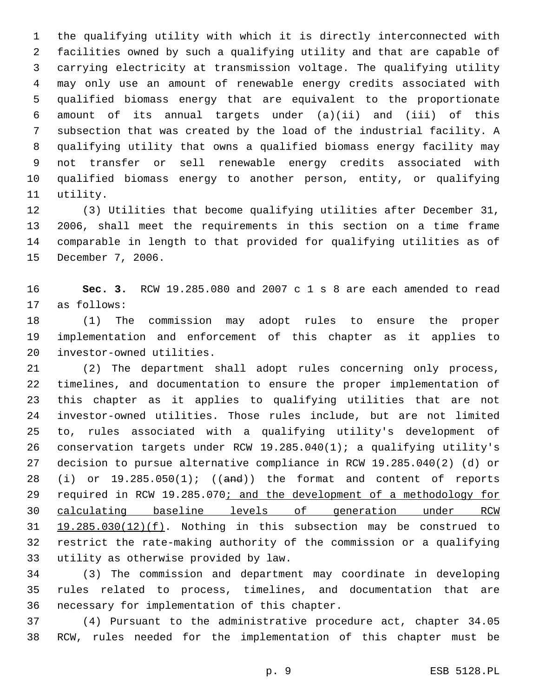the qualifying utility with which it is directly interconnected with facilities owned by such a qualifying utility and that are capable of carrying electricity at transmission voltage. The qualifying utility may only use an amount of renewable energy credits associated with qualified biomass energy that are equivalent to the proportionate amount of its annual targets under (a)(ii) and (iii) of this subsection that was created by the load of the industrial facility. A qualifying utility that owns a qualified biomass energy facility may not transfer or sell renewable energy credits associated with qualified biomass energy to another person, entity, or qualifying 11 utility.

 (3) Utilities that become qualifying utilities after December 31, 2006, shall meet the requirements in this section on a time frame comparable in length to that provided for qualifying utilities as of 15 December 7, 2006.

 **Sec. 3.** RCW 19.285.080 and 2007 c 1 s 8 are each amended to read 17 as follows:

 (1) The commission may adopt rules to ensure the proper implementation and enforcement of this chapter as it applies to 20 investor-owned utilities.

 (2) The department shall adopt rules concerning only process, timelines, and documentation to ensure the proper implementation of this chapter as it applies to qualifying utilities that are not investor-owned utilities. Those rules include, but are not limited to, rules associated with a qualifying utility's development of conservation targets under RCW 19.285.040(1); a qualifying utility's decision to pursue alternative compliance in RCW 19.285.040(2) (d) or 28 (i) or  $19.285.050(1)$ ; ((and)) the format and content of reports 29 required in RCW 19.285.070; and the development of a methodology for calculating baseline levels of generation under RCW 19.285.030(12)(f). Nothing in this subsection may be construed to restrict the rate-making authority of the commission or a qualifying 33 utility as otherwise provided by law.

 (3) The commission and department may coordinate in developing rules related to process, timelines, and documentation that are 36 necessary for implementation of this chapter.

 (4) Pursuant to the administrative procedure act, chapter 34.05 RCW, rules needed for the implementation of this chapter must be